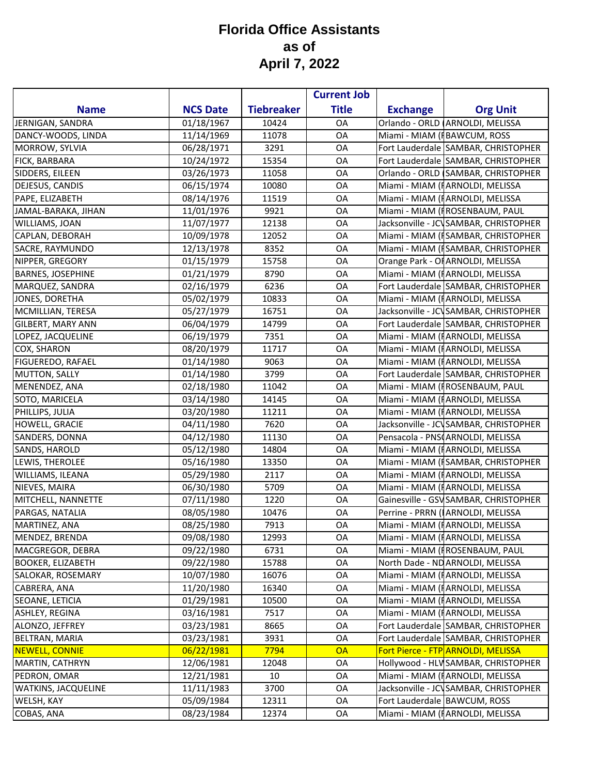## **Florida Office Assistants as of April 7, 2022**

|                            |                 |                   | <b>Current Job</b> |                 |                                       |
|----------------------------|-----------------|-------------------|--------------------|-----------------|---------------------------------------|
| <b>Name</b>                | <b>NCS Date</b> | <b>Tiebreaker</b> | <b>Title</b>       | <b>Exchange</b> | <b>Org Unit</b>                       |
| JERNIGAN, SANDRA           | 01/18/1967      | 10424             | OA                 |                 | Orlando - ORLD ARNOLDI, MELISSA       |
| DANCY-WOODS, LINDA         | 11/14/1969      | 11078             | OA                 |                 | Miami - MIAM (FBAWCUM, ROSS           |
| MORROW, SYLVIA             | 06/28/1971      | 3291              | OA                 |                 | Fort Lauderdale SAMBAR, CHRISTOPHER   |
| FICK, BARBARA              | 10/24/1972      | 15354             | OA                 |                 | Fort Lauderdale SAMBAR, CHRISTOPHER   |
| SIDDERS, EILEEN            | 03/26/1973      | 11058             | OA                 |                 | Orlando - ORLD SAMBAR, CHRISTOPHER    |
| DEJESUS, CANDIS            | 06/15/1974      | 10080             | OA                 |                 | Miami - MIAM (HARNOLDI, MELISSA       |
| PAPE, ELIZABETH            | 08/14/1976      | 11519             | OA                 |                 | Miami - MIAM (FARNOLDI, MELISSA       |
| JAMAL-BARAKA, JIHAN        | 11/01/1976      | 9921              | OA                 |                 | Miami - MIAM (FROSENBAUM, PAUL        |
| WILLIAMS, JOAN             | 11/07/1977      | 12138             | OA                 |                 | Jacksonville - JCVSAMBAR, CHRISTOPHER |
| CAPLAN, DEBORAH            | 10/09/1978      | 12052             | OA                 |                 | Miami - MIAM (ISAMBAR, CHRISTOPHER    |
| SACRE, RAYMUNDO            | 12/13/1978      | 8352              | OA                 |                 | Miami - MIAM (ISAMBAR, CHRISTOPHER    |
| NIPPER, GREGORY            | 01/15/1979      | 15758             | OA                 |                 | Orange Park - OF ARNOLDI, MELISSA     |
| <b>BARNES, JOSEPHINE</b>   | 01/21/1979      | 8790              | <b>OA</b>          |                 | Miami - MIAM (HARNOLDI, MELISSA       |
| MARQUEZ, SANDRA            | 02/16/1979      | 6236              | OA                 |                 | Fort Lauderdale SAMBAR, CHRISTOPHER   |
| JONES, DORETHA             | 05/02/1979      | 10833             | OA                 |                 | Miami - MIAM (HARNOLDI, MELISSA       |
| MCMILLIAN, TERESA          | 05/27/1979      | 16751             | <b>OA</b>          |                 | Jacksonville - JCVSAMBAR, CHRISTOPHER |
| <b>GILBERT, MARY ANN</b>   | 06/04/1979      | 14799             | OA                 |                 | Fort Lauderdale SAMBAR, CHRISTOPHER   |
| LOPEZ, JACQUELINE          | 06/19/1979      | 7351              | OA                 |                 | Miami - MIAM (FARNOLDI, MELISSA       |
| <b>COX, SHARON</b>         | 08/20/1979      | 11717             | <b>OA</b>          |                 | Miami - MIAM (FARNOLDI, MELISSA       |
| FIGUEREDO, RAFAEL          | 01/14/1980      | 9063              | <b>OA</b>          |                 | Miami - MIAM (HARNOLDI, MELISSA       |
| <b>MUTTON, SALLY</b>       | 01/14/1980      | 3799              | OA                 |                 | Fort Lauderdale SAMBAR, CHRISTOPHER   |
| MENENDEZ, ANA              | 02/18/1980      | 11042             | <b>OA</b>          |                 | Miami - MIAM (FROSENBAUM, PAUL        |
| SOTO, MARICELA             | 03/14/1980      | 14145             | OA                 |                 | Miami - MIAM (FARNOLDI, MELISSA       |
| PHILLIPS, JULIA            | 03/20/1980      | 11211             | OA                 |                 | Miami - MIAM (FARNOLDI, MELISSA       |
| HOWELL, GRACIE             | 04/11/1980      | 7620              | OA                 |                 | Jacksonville - JCVSAMBAR, CHRISTOPHER |
| SANDERS, DONNA             | 04/12/1980      | 11130             | OA                 |                 | Pensacola - PNSCARNOLDI, MELISSA      |
| SANDS, HAROLD              | 05/12/1980      | 14804             | <b>OA</b>          |                 | Miami - MIAM (FARNOLDI, MELISSA       |
| LEWIS, THEROLEE            | 05/16/1980      | 13350             | OA                 |                 | Miami - MIAM (ISAMBAR, CHRISTOPHER    |
| WILLIAMS, ILEANA           | 05/29/1980      | 2117              | <b>OA</b>          |                 | Miami - MIAM (HARNOLDI, MELISSA       |
| NIEVES, MAIRA              | 06/30/1980      | 5709              | <b>OA</b>          |                 | Miami - MIAM (HARNOLDI, MELISSA       |
| MITCHELL, NANNETTE         | 07/11/1980      | 1220              | OA                 |                 | Gainesville - GSVSAMBAR, CHRISTOPHER  |
| PARGAS, NATALIA            | 08/05/1980      | 10476             | OA                 |                 | Perrine - PRRN (ARNOLDI, MELISSA      |
| MARTINEZ, ANA              | 08/25/1980      | 7913              | <b>OA</b>          |                 | Miami - MIAM (FARNOLDI, MELISSA       |
| MENDEZ, BRENDA             | 09/08/1980      | 12993             | OA                 |                 | Miami - MIAM (FARNOLDI, MELISSA       |
| MACGREGOR, DEBRA           | 09/22/1980      | 6731              | OA                 |                 | Miami - MIAM (FROSENBAUM, PAUL        |
| <b>BOOKER, ELIZABETH</b>   | 09/22/1980      | 15788             | OA                 |                 | North Dade - ND ARNOLDI, MELISSA      |
| SALOKAR, ROSEMARY          | 10/07/1980      | 16076             | OA                 |                 | Miami - MIAM (HARNOLDI, MELISSA       |
| CABRERA, ANA               | 11/20/1980      | 16340             | OA                 |                 | Miami - MIAM (HARNOLDI, MELISSA       |
| SEOANE, LETICIA            | 01/29/1981      | 10500             | OA                 |                 | Miami - MIAM (FARNOLDI, MELISSA       |
| <b>ASHLEY, REGINA</b>      | 03/16/1981      | 7517              | <b>OA</b>          |                 | Miami - MIAM (HARNOLDI, MELISSA       |
| ALONZO, JEFFREY            | 03/23/1981      | 8665              | OA                 |                 | Fort Lauderdale SAMBAR, CHRISTOPHER   |
| <b>BELTRAN, MARIA</b>      | 03/23/1981      | 3931              | <b>OA</b>          |                 | Fort Lauderdale SAMBAR, CHRISTOPHER   |
| <b>NEWELL, CONNIE</b>      | 06/22/1981      | 7794              | <b>OA</b>          |                 | Fort Pierce - FTP ARNOLDI, MELISSA    |
| MARTIN, CATHRYN            | 12/06/1981      | 12048             | OA                 |                 | Hollywood - HLV SAMBAR, CHRISTOPHER   |
| PEDRON, OMAR               | 12/21/1981      | 10                | <b>OA</b>          |                 | Miami - MIAM (HARNOLDI, MELISSA       |
| <b>WATKINS, JACQUELINE</b> | 11/11/1983      | 3700              | 0A                 |                 | Jacksonville - JCVSAMBAR, CHRISTOPHER |
| WELSH, KAY                 | 05/09/1984      | 12311             | <b>OA</b>          |                 | Fort Lauderdale BAWCUM, ROSS          |
| COBAS, ANA                 | 08/23/1984      | 12374             | OA                 |                 | Miami - MIAM (FARNOLDI, MELISSA       |